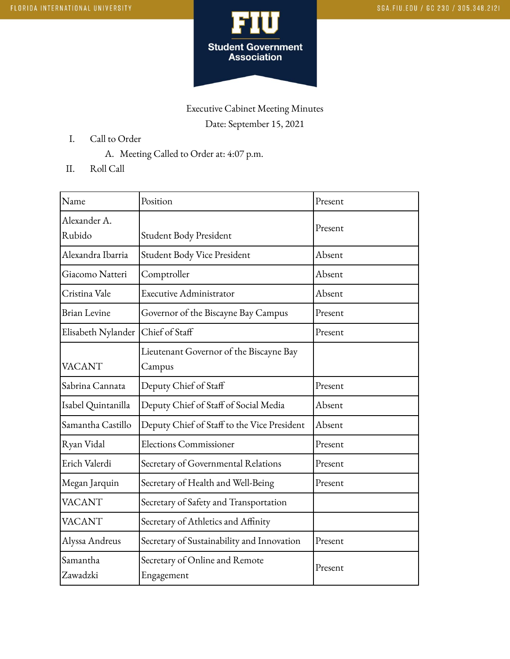

## Executive Cabinet Meeting Minutes Date: September 15, 2021

- I. Call to Order
	- A. Meeting Called to Order at: 4:07 p.m.
- II. Roll Call

| Name                   | Position                                          | Present |
|------------------------|---------------------------------------------------|---------|
| Alexander A.<br>Rubido | Student Body President                            | Present |
| Alexandra Ibarria      | Student Body Vice President                       | Absent  |
| Giacomo Natteri        | Comptroller                                       | Absent  |
| Cristina Vale          | <b>Executive Administrator</b>                    | Absent  |
| <b>Brian Levine</b>    | Governor of the Biscayne Bay Campus               | Present |
| Elisabeth Nylander     | Chief of Staff                                    | Present |
| <b>VACANT</b>          | Lieutenant Governor of the Biscayne Bay<br>Campus |         |
| Sabrina Cannata        | Deputy Chief of Staff                             | Present |
| Isabel Quintanilla     | Deputy Chief of Staff of Social Media             | Absent  |
| Samantha Castillo      | Deputy Chief of Staff to the Vice President       | Absent  |
| Ryan Vidal             | <b>Elections Commissioner</b>                     | Present |
| Erich Valerdi          | Secretary of Governmental Relations               | Present |
| Megan Jarquin          | Secretary of Health and Well-Being                | Present |
| <b>VACANT</b>          | Secretary of Safety and Transportation            |         |
| VACANT                 | Secretary of Athletics and Affinity               |         |
| Alyssa Andreus         | Secretary of Sustainability and Innovation        | Present |
| Samantha<br>Zawadzki   | Secretary of Online and Remote<br>Engagement      | Present |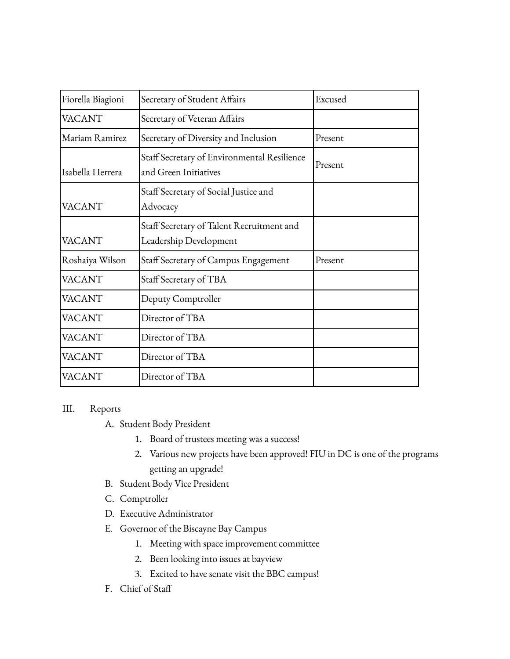| Fiorella Biagioni | Secretary of Student Affairs                                         | Excused |
|-------------------|----------------------------------------------------------------------|---------|
| <b>VACANT</b>     | Secretary of Veteran Affairs                                         |         |
| Mariam Ramirez    | Secretary of Diversity and Inclusion                                 | Present |
| Isabella Herrera  | Staff Secretary of Environmental Resilience<br>and Green Initiatives | Present |
| <b>VACANT</b>     | Staff Secretary of Social Justice and<br>Advocacy                    |         |
| <b>VACANT</b>     | Staff Secretary of Talent Recruitment and<br>Leadership Development  |         |
| Roshaiya Wilson   | Staff Secretary of Campus Engagement                                 | Present |
| <b>VACANT</b>     | Staff Secretary of TBA                                               |         |
| <b>VACANT</b>     | Deputy Comptroller                                                   |         |
| <b>VACANT</b>     | Director of TBA                                                      |         |
| <b>VACANT</b>     | Director of TBA                                                      |         |
| <b>VACANT</b>     | Director of TBA                                                      |         |
| <b>VACANT</b>     | Director of TBA                                                      |         |

## III. Reports

A. Student Body President

- 1. Board of trustees meeting was a success!
- 2. Various new projects have been approved! FIU in DC is one of the programs getting an upgrade!
- B. Student Body Vice President
- C. Comptroller
- D. Executive Administrator
- E. Governor of the Biscayne Bay Campus
	- 1. Meeting with space improvement committee
	- 2. Been looking into issues at bayview
	- 3. Excited to have senate visit the BBC campus!
- F. Chief of Staff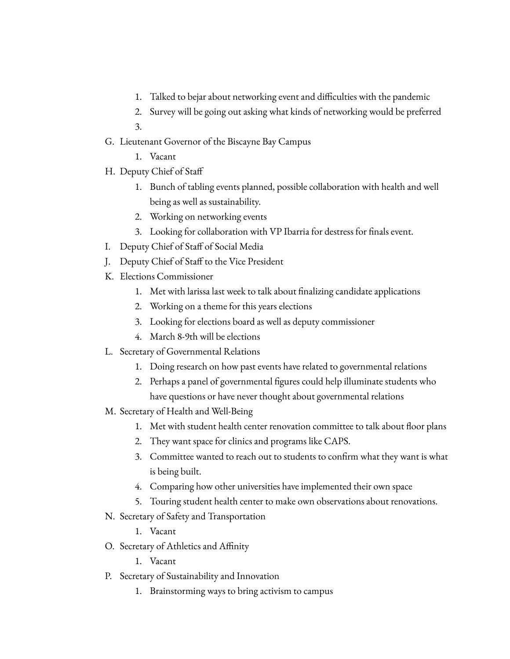- 1. Talked to bejar about networking event and difficulties with the pandemic
- 2. Survey will be going out asking what kinds of networking would be preferred
- 3.
- G. Lieutenant Governor of the Biscayne Bay Campus
	- 1. Vacant
- H. Deputy Chief of Staff
	- 1. Bunch of tabling events planned, possible collaboration with health and well being as well as sustainability.
	- 2. Working on networking events
	- 3. Looking for collaboration with VP Ibarria for destress for finals event.
- I. Deputy Chief of Staff of Social Media
- J. Deputy Chief of Staff to the Vice President
- K. Elections Commissioner
	- 1. Met with larissa last week to talk about finalizing candidate applications
	- 2. Working on a theme for this years elections
	- 3. Looking for elections board as well as deputy commissioner
	- 4. March 8-9th will be elections
- L. Secretary of Governmental Relations
	- 1. Doing research on how past events have related to governmental relations
	- 2. Perhaps a panel of governmental figures could help illuminate students who have questions or have never thought about governmental relations
- M. Secretary of Health and Well-Being
	- 1. Met with student health center renovation committee to talk about floor plans
	- 2. They want space for clinics and programs like CAPS.
	- 3. Committee wanted to reach out to students to confirm what they want is what is being built.
	- 4. Comparing how other universities have implemented their own space
	- 5. Touring student health center to make own observations about renovations.
- N. Secretary of Safety and Transportation
	- 1. Vacant
- O. Secretary of Athletics and Affinity
	- 1. Vacant
- P. Secretary of Sustainability and Innovation
	- 1. Brainstorming ways to bring activism to campus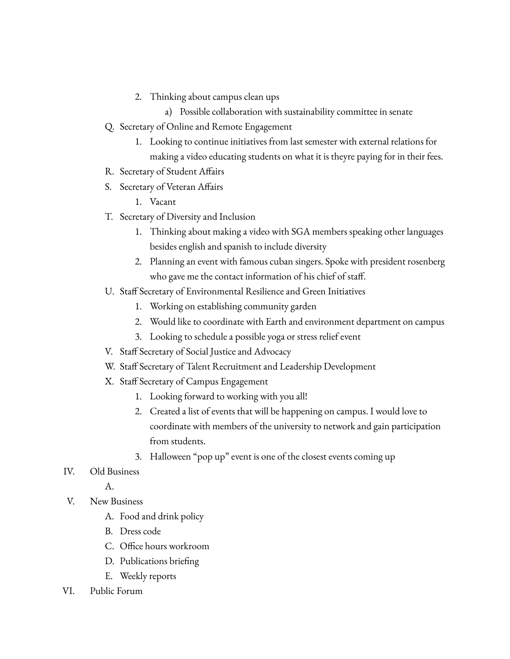- 2. Thinking about campus clean ups
	- a) Possible collaboration with sustainability committee in senate
- Q. Secretary of Online and Remote Engagement
	- 1. Looking to continue initiatives from last semester with external relations for making a video educating students on what it is theyre paying for in their fees.
- R. Secretary of Student Affairs
- S. Secretary of Veteran Affairs
	- 1. Vacant
- T. Secretary of Diversity and Inclusion
	- 1. Thinking about making a video with SGA members speaking other languages besides english and spanish to include diversity
	- 2. Planning an event with famous cuban singers. Spoke with president rosenberg who gave me the contact information of his chief of staff.
- U. Staff Secretary of Environmental Resilience and Green Initiatives
	- 1. Working on establishing community garden
	- 2. Would like to coordinate with Earth and environment department on campus
	- 3. Looking to schedule a possible yoga or stress relief event
- V. Staff Secretary of Social Justice and Advocacy
- W. Staff Secretary of Talent Recruitment and Leadership Development
- X. Staff Secretary of Campus Engagement
	- 1. Looking forward to working with you all!
	- 2. Created a list of events that will be happening on campus. I would love to coordinate with members of the university to network and gain participation from students.
	- 3. Halloween "pop up" event is one of the closest events coming up
- IV. Old Business
	- A.
- V. New Business
	- A. Food and drink policy
	- B. Dress code
	- C. Office hours workroom
	- D. Publications briefing
	- E. Weekly reports
- VI. Public Forum